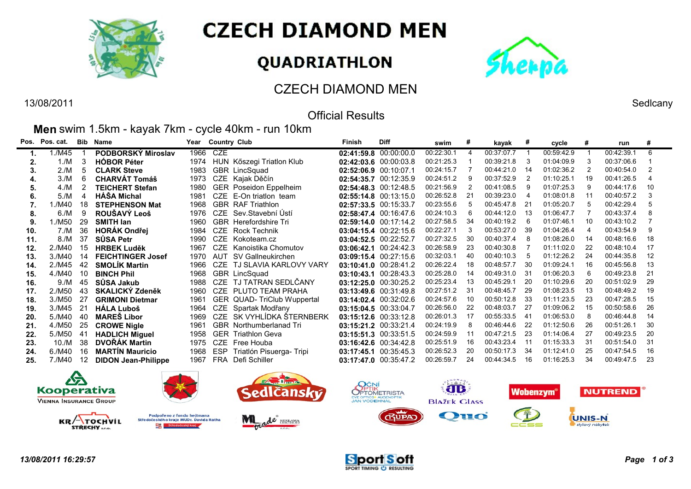

# **CZECH DIAMOND MEN**

# QUADRIATHLON



## CZECH DIAMOND MEN

#### 13/08/2011 Sedlcany Official Results

**Men** swim 1.5km - kayak 7km - cycle 40km - run 10km

|     | Pos. Pos. cat. | Bib | <b>Name</b>                | Year |            | <b>Country Club</b>          | Finish | <b>Diff</b>           | swim       | #  | kayak      | #    | cycle      | #  | run        | #   |
|-----|----------------|-----|----------------------------|------|------------|------------------------------|--------|-----------------------|------------|----|------------|------|------------|----|------------|-----|
| 1.  | 1./M45         |     | PODBORSKÝ Miroslav         | 1966 | CZE        |                              |        | 02:41:59.8 00:00:00.0 | 00:22:30.1 | 4  | 00:37:07.7 |      | 00:59:42.9 |    | 00:42:39.1 | 6   |
| 2.  | 1./M           | 3   | <b>HOBOR Péter</b>         | 1974 |            | HUN Kőszegi Triatlon Klub    |        | 02:42:03.6 00:00:03.8 | 00:21:25.3 |    | 00:39:21.8 | -3   | 01:04:09.9 |    | 00:37:06.6 |     |
|     | 2./M           | 5   | <b>CLARK Steve</b>         | 1983 |            | GBR LincSquad                |        | 02:52:06.9 00:10:07.1 | 00:24:15.7 |    | 00:44:21.0 | -14  | 01:02:36.2 |    | 00:40:54.0 |     |
| 4.  | 3./M           | 6   | <b>CHARVÁT Tomáš</b>       | 1973 |            | CZE Kajak Děčín              |        | 02:54:35.7 00:12:35.9 | 00:24:51.2 |    | 00:37:52.9 |      | 01:10:25.1 |    | 00:41:26.5 |     |
| 5.  | 4/M            |     | TEICHERT Stefan            | 1980 |            | GER Poseidon Eppelheim       |        | 02:54:48.3 00:12:48.5 | 00:21:56.9 |    | 00:41:08.5 | -9   | 01:07:25.3 | -9 | 00:44:17.6 | 10  |
| 6.  | 5./M           | Δ   | <b>HÁŠA Michal</b>         | 1981 |            | CZE E-On triatlon team       |        | 02:55:14.8 00:13:15.0 | 00:26:52.8 |    | 00:39:23.0 | -4   | 01:08:01.8 |    | 00:40:57.2 |     |
|     | ./M40          | 18  | <b>STEPHENSON Mat</b>      | 1968 |            | <b>GBR RAF Triathlon</b>     |        | 02:57:33.5 00:15:33.7 | 00:23:55.6 |    | 00:45:47.8 | -21  | 01:05:20.7 |    | 00:42:29.4 | -5  |
| 8.  | 6./M           | 9   | ROUŠAVÝ Leoš               | 1976 |            | CZE Sev.Stavební Ústí        |        | 02:58:47.4 00:16:47.6 | 00:24:10.3 |    | 00:44:12.0 | -13  | 01:06:47.7 |    | 00:43:37.4 |     |
| 9.  | 1./M50         | 29  | <b>SMITH lan</b>           | 1960 |            | <b>GBR</b> Herefordshire Tri |        | 02:59:14.0 00:17:14.2 | 00:27:58.5 | 34 | 00:40:19.2 | - 6  | 01:07:46.1 |    | 00:43:10.2 |     |
| 10. | 7./M           | 36  | <b>HORÁK Ondřej</b>        | 1984 |            | CZE Rock Technik             |        | 03:04:15.4 00:22:15.6 | 00:22:27.1 |    | 00:53:27.0 | -39  | 01:04:26.4 | 4  | 00:43:54.9 | -9  |
| 11. | 8./M           | 37  | SŮSA Petr                  | 1990 | <b>CZE</b> | Kokoteam.cz                  |        | 03:04:52.5 00:22:52.7 | 00:27:32.5 | 30 | 00:40:37.4 | -8   | 01:08:26.0 | 14 | 00:48:16.6 | 18  |
| 12. | 2./M40         | 15  | <b>HRBEK Luděk</b>         | 1967 | CZE        | Kanoistika Chomutov          |        | 03:06:42.1 00:24:42.3 | 00:26:58.9 | 23 | 00:40:30.8 |      | 01:11:02.0 | 22 | 00:48:10.4 | -17 |
| 13. | 3./M40         | 14  | <b>FEICHTINGER Josef</b>   | 1970 | AUT        | SV Gallneukirchen            |        | 03:09:15.4 00:27:15.6 | 00:32:03.1 | 40 | 00:40:10.3 | 5    | 01:12:26.2 | 24 | 00:44:35.8 | 12  |
| 14. | 2./M45         | 42  | <b>SMOLIK Martin</b>       | 1966 | CZE        | TJ SLAVIA KARLOVY VARY       |        | 03:10:41.0 00:28:41.2 | 00:26:22.4 | 18 | 00:48:57.7 | -30  | 01:09:24.1 |    | 00:45:56.8 | 13  |
| 15. | 4./M40         | 10  | <b>BINCH Phil</b>          | 1968 |            | GBR LincSquad                |        | 03:10:43.1 00:28:43.3 | 00:25:28.0 | 14 | 00:49:31.0 | - 31 | 01:06:20.3 | -6 | 00:49:23.8 | 21  |
| 16. | 9./M           | 45  | SŮSA Jakub                 | 1988 |            | CZE TJ TATRAN SEDLČANY       |        | 03:12:25.0 00:30:25.2 | 00:25:23.4 | 13 | 00:45:29.1 | 20   | 01:10:29.6 | 20 | 00:51:02.9 | 29  |
| 17. | 2./M50         | 43  | <b>SKALICKÝ Zdeněk</b>     | 1960 |            | CZE PLUTO TEAM PRAHA         |        | 03:13:49.6 00:31:49.8 | 00:27:51.2 | 31 | 00:48:45.7 | -29  | 01:08:23.5 |    | 00:48:49.2 | 19  |
| 18. | 3./M50         | 27  | <b>GRIMONI Dietmar</b>     | 1961 |            | GER QUAD- TriClub Wuppertal  |        | 03:14:02.4 00:32:02.6 | 00:24:57.6 | 10 | 00:50:12.8 | -33  | 01:11:23.5 | 23 | 00:47:28.5 | 15  |
| 19. | 3./M45         | 21  | <b>HÁLA Luboš</b>          | 1964 |            | CZE Spartak Modřany          |        | 03:15:04.5 00:33:04.7 | 00:26:56.0 | 22 | 00:48:03.7 | -27  | 01:09:06.2 | 15 | 00:50:58.6 | 26  |
| 20. | 5./M40         | 40  | <b>MARES Libor</b>         | 1969 |            | CZE SK VYHLÍDKA ŠTERNBERK    |        | 03:15:12.6 00:33:12.8 | 00:26:01.3 | 17 | 00:55:33.5 | - 41 | 01:06:53.0 | 8  | 00:46:44.8 | 14  |
| 21. | 4./M50         | 25  | <b>CROWE Nigle</b>         | 1961 |            | GBR Northumberlanad Tri      |        | 03:15:21.2 00:33:21.4 | 00:24:19.9 |    | 00:46:44.6 | 22   | 01:12:50.6 |    | 00:51:26.1 | 30  |
| 22. | 5./M50         | -41 | <b>HADLICH Miguel</b>      | 1958 |            | <b>GER</b> Triathlon Geva    |        | 03:15:51.3 00:33:51.5 | 00:24:59.9 | 11 | 00:47:21.5 | -23  | 01:14:06.4 | 27 | 00:49:23.5 | 20  |
| 23. | 10./M          | 38  | DVOŘÁK Martin              | 1975 | <b>CZE</b> | Free Houba                   |        | 03:16:42.6 00:34:42.8 | 00:25:51.9 | 16 | 00:43:23.4 | -11  | 01:15:33.3 | 31 | 00:51:54.0 | 31  |
| 24. | 6./M40         | 16  | <b>MARTIN Mauricio</b>     | 1968 | ESP        | Triatlón Pisuerga-Tripi      |        | 03:17:45.1 00:35:45.3 | 00:26:52.3 | 20 | 00:50:17.3 | 34   | 01:12:41.0 | 25 | 00:47:54.5 | 16  |
| 25. | 7./M40         | 12  | <b>DIDON Jean-Philippe</b> | 1967 | <b>FRA</b> | Defi Schiller                |        | 03:17:47.0 00:35:47.2 | 00:26:59.7 | 24 | 00:44:34.5 | 16   | 01:16:25.3 | 34 | 00:49:47.5 | 23  |
|     |                |     |                            |      |            |                              |        |                       |            |    |            |      |            |    |            |     |



**TOCHVIL** 

STŘECHY ....

 $\blacksquare$ 











 $KR/$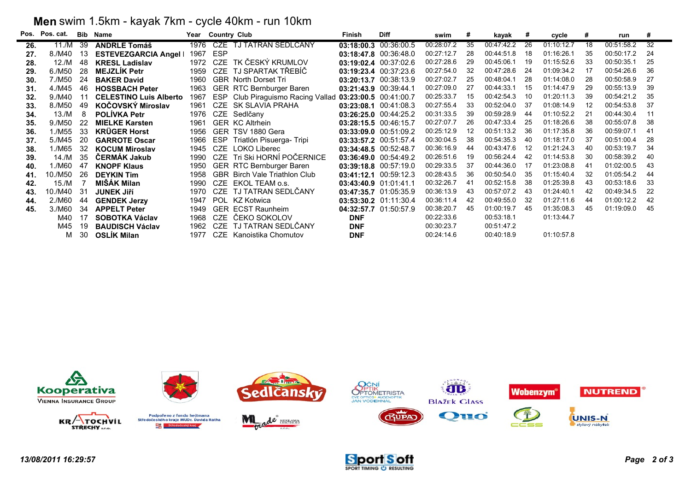### **Men** swim 1.5km - kayak 7km - cycle 40km - run 10km

| Pos. | Pos. cat. | <b>Bib</b> | <b>Name</b>                   | Year | <b>Country Club</b> |                                                         | Finish                | <b>Diff</b>           | swim       | #  | kayak      | #   | cycle      | #  | run        | #  |
|------|-----------|------------|-------------------------------|------|---------------------|---------------------------------------------------------|-----------------------|-----------------------|------------|----|------------|-----|------------|----|------------|----|
| 26.  | 11./M     | -39        | <b>ANDRLE Tomáš</b>           | 1976 |                     | CZE TJ TATRAN SEDLČANY                                  |                       | 03:18:00.3 00:36:00.5 | 00:28:07.2 | 35 | 00:47:42.2 | 26  | 01:10:12.7 | 18 | 00:51:58.2 | 32 |
| 27.  | 8./M40    | 13         | <b>ESTEVEZGARCIA Angel</b>    | 1967 | <b>ESP</b>          |                                                         | 03:18:47.8 00:36:48.0 |                       | 00:27:12.7 | 28 | 00:44:51.8 | 18  | 01:16:26.1 | 35 | 00:50:17.2 | 24 |
| 28.  | 12./M     | -48        | <b>KRESL Ladislav</b>         | 1972 | CZE                 | TK ČESKÝ KRUMLOV                                        |                       | 03:19:02.4 00:37:02.6 | 00:27:28.6 | 29 | 00:45:06.1 | 19  | 01:15:52.6 | 33 | 00:50:35.1 | 25 |
| 29.  | 6./M50    | 28         | <b>MEJZLÍK Petr</b>           | 1959 |                     | CZE TJ SPARTAK TŘEBÍČ                                   |                       | 03:19:23.4 00:37:23.6 | 00:27:54.0 | 32 | 00:47:28.6 | 24  | 01:09:34.2 | 17 | 00:54:26.6 | 36 |
| 30.  | 7./M50    | 24         | <b>BAKER David</b>            | 1960 |                     | <b>GBR</b> North Dorset Tri                             |                       | 03:20:13.7 00:38:13.9 | 00:27:02.7 | 25 | 00:48:04.1 | 28  | 01:14:08.0 | 28 | 00:50:58.9 | 27 |
| 31.  | 4./M45    | 46         | <b>HOSSBACH Peter</b>         | 1963 |                     | GER RTC Bernburger Baren                                | 03:21:43.9 00:39:44.1 |                       | 00:27:09.0 | 27 | 00:44:33.1 | 15  | 01:14:47.9 | 29 | 00:55:13.9 | 39 |
| 32.  | 9./M40    | 11         | <b>CELESTINO Luis Alberto</b> | 1967 |                     | ESP Club Piraguismo Racing Vallad 03:23:00.5 00:41:00.7 |                       |                       | 00:25:33.7 | 15 | 00:42:54.3 | 10  | 01:20:11.3 | 39 | 00:54:21.2 | 35 |
| 33.  | 8./M50    | 49         | <b>KOČOVSKÝ Miroslav</b>      | 1961 |                     | CZE SK SLAVIA PRAHA                                     | 03:23:08.1 00:41:08.3 |                       | 00:27:55.4 | 33 | 00:52:04.0 | 37  | 01:08:14.9 | 12 | 00:54:53.8 | 37 |
| 34.  | 13./M     |            | <b>POLIVKA Petr</b>           | 1976 |                     | CZE Sedlčany                                            |                       | 03:26:25.0 00:44:25.2 | 00:31:33.5 | 39 | 00:59:28.9 | 44  | 01:10:52.2 | 21 | 00:44:30.4 | 11 |
| 35.  | 9./M50    | -22        | <b>MIELKE Karsten</b>         | 1961 |                     | <b>GER KC Altrhein</b>                                  | 03:28:15.5 00:46:15.7 |                       | 00:27:07.7 | 26 | 00:47:33.4 | 25  | 01:18:26.6 | 38 | 00:55:07.8 | 38 |
| 36.  | 1./M55    | 33         | <b>KRÜGER Horst</b>           | 1956 |                     | GER TSV 1880 Gera                                       |                       | 03:33:09.0 00:51:09.2 | 00:25:12.9 | 12 | 00:51:13.2 | 36  | 01:17:35.8 | 36 | 00:59:07.1 | 41 |
| 37.  | 5./M45    | -20        | <b>GARROTE Oscar</b>          | 1966 |                     | ESP Triatlón Pisuerga-Tripi                             |                       | 03:33:57.2 00:51:57.4 | 00:30:04.5 | 38 | 00:54:35.3 | 40  | 01:18:17.0 | 37 | 00:51:00.4 | 28 |
| 38.  | 1./M65    | 32         | <b>KOCUM Miroslav</b>         | 1945 |                     | CZE LOKO Liberec                                        | 03:34:48.5 00:52:48.7 |                       | 00:36:16.9 | 44 | 00:43:47.6 | 12  | 01:21:24.3 | 40 | 00:53:19.7 | 34 |
| 39.  | 14./M     | 35         | <b>ČERMÁK Jakub</b>           | 1990 |                     | CZE Tri Ski HORNÍ POČERNICE                             |                       | 03:36:49.0 00:54:49.2 | 00:26:51.6 | 19 | 00:56:24.4 | 42  | 01:14:53.8 | 30 | 00:58:39.2 | 40 |
| 40.  | 1./M60    | 47         | <b>KNOPF Klaus</b>            | 1950 |                     | GER RTC Bernburger Baren                                |                       | 03:39:18.8 00:57:19.0 | 00:29:33.5 | 37 | 00:44:36.0 | 17  | 01:23:08.8 | 41 | 01:02:00.5 | 43 |
| 41.  | 10./M50   | 26         | <b>DEYKIN Tim</b>             | 1958 |                     | GBR Birch Vale Triathlon Club                           | 03:41:12.1 00:59:12.3 |                       | 00:28:43.5 | 36 | 00:50:54.0 | -35 | 01:15:40.4 | 32 | 01:05:54.2 | 44 |
| 42.  | 15./M     |            | MIŠÁK Milan                   | 1990 |                     | CZE EKOL TEAM o.s.                                      | 03:43:40.9 01:01:41.1 |                       | 00:32:26.7 | 41 | 00:52:15.8 | 38  | 01:25:39.8 | 43 | 00:53:18.6 | 33 |
| 43.  | 10./M40   | -31        | <b>JUNEK Jiří</b>             | 1970 |                     | CZE TJ TATRAN SEDLČANY                                  |                       | 03:47:35.7 01:05:35.9 | 00:36:13.9 | 43 | 00:57:07.2 | 43  | 01:24:40.1 | 42 | 00:49:34.5 | 22 |
| 44.  | 2./M60    | 44         | <b>GENDEK Jerzy</b>           | 1947 |                     | POL KZ Kotwica                                          |                       | 03:53:30.2 01:11:30.4 | 00:36:11.4 | 42 | 00:49:55.0 | 32  | 01:27:11.6 | 44 | 01:00:12.2 | 42 |
| 45.  | 3./M60    | 34         | <b>APPELT Peter</b>           | 1949 |                     | <b>GER ECST Raunheim</b>                                |                       | 04:32:57.7 01:50:57.9 | 00:38:20.7 | 45 | 01:00:19.7 | 45  | 01:35:08.3 | 45 | 01:19:09.0 | 45 |
|      | M40       | 17         | <b>SOBOTKA Václav</b>         | 1968 | <b>CZE</b>          | ČEKO SOKOLOV                                            | <b>DNF</b>            |                       | 00:22:33.6 |    | 00:53:18.1 |     | 01:13:44.7 |    |            |    |
|      | M45       | 19         | <b>BAUDISCH Václav</b>        | 1962 | CZE                 | TJ TATRAN SEDLČANY                                      | <b>DNF</b>            |                       | 00:30:23.7 |    | 00:51:47.2 |     |            |    |            |    |
|      | м         | 30         | <b>OSLIK Milan</b>            | 1977 |                     | CZE Kanoistika Chomutov                                 | <b>DNF</b>            |                       | 00:24:14.6 |    | 00:40:18.9 |     | 01:10:57.8 |    |            |    |



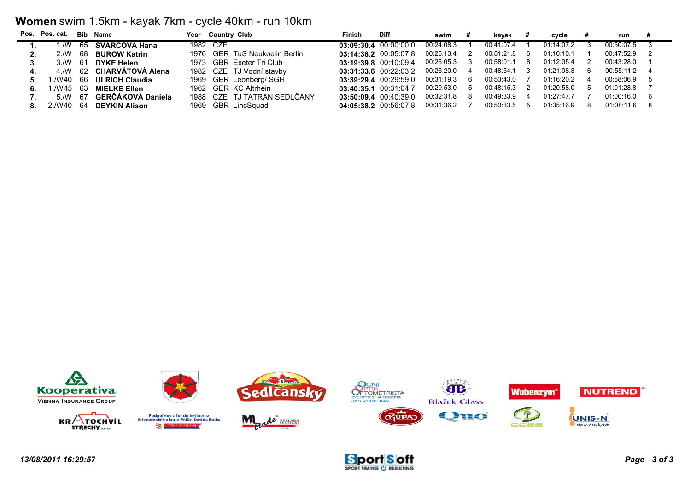### **Women** swim 1.5km - kayak 7km - cycle 40km - run 10km

|    | Pos. Pos. cat. |     | <b>Bib Name</b>       | Year Country Club             | Finish | <b>Diff</b>               | swim       |    | kavak      |   | cvcle      | run        |  |
|----|----------------|-----|-----------------------|-------------------------------|--------|---------------------------|------------|----|------------|---|------------|------------|--|
|    | ./W            | 65  | ŠVARCOVÁ Hana         | 1982 CZE                      |        | $03:09:30.4$ $00:00:00.0$ | 00:24:08.3 |    | 00:41:07.4 |   | 01:14:07.2 | 00:50:07.5 |  |
|    | 2 /W           | 68  | <b>BUROW Katrin</b>   | 1976 GER TuS Neukoelin Berlin |        | 03:14:38.2 00:05:07.8     | 00:25:13.4 |    | 00:51:21.8 | 6 | 01:10:10.1 | 00:47:52.9 |  |
|    | 3/N            | -61 | <b>DYKE Helen</b>     | 1973 GBR Exeter Tri Club      |        | 03:19:39.8 00:10:09.4     | 00:26:05.3 |    | 00:58:01.1 |   | 01:12:05.4 | 00:43:28.0 |  |
|    | 4./W           |     | 62 CHARVÁTOVÁ Alena   | 1982 CZE TJ Vodní stavby      |        | $03:31:33.6$ $00:22:03.2$ | 00:26:20.0 | 4  | 00:48:54.1 |   | 01:21:08.3 | 00:55:11.2 |  |
|    | ./W40          | 66  | <b>ULRICH Claudia</b> | 1969 GER Leonberg/ SGH        |        | 03:39:29.4 00:29:59.0     | 00:31:19.3 | 6  | 00:53:43.0 |   | 01:16:20.2 | 00:58:06.9 |  |
| 6. | ./W45          | 63  | <b>MIELKE Ellen</b>   | 1962 GER KC Altrhein          |        | 03:40:35.1 00:31:04.7     | 00:29:53.0 | .5 | 00:48:15.3 |   | 01:20:58.0 | 01:01:28.8 |  |
|    | 5/N            | -67 | GERČÁKOVÁ Daniela     | 1988 CZE TJ TATRAN SEDLČANY   |        | $03:50:09.4$ $00:40:39.0$ | 00:32:31.8 | 8  | 00:49:33.9 |   | 01:27:47.7 | 01:00:16.0 |  |
|    | 2./W40         | 64  | <b>DEYKIN Alison</b>  | 1969 GBR LincSquad            |        | 04:05:38.2 00:56:07.8     | 00:31:36.2 |    | 00:50:33.5 |   | 01:35:16.9 | 01:08:11.6 |  |



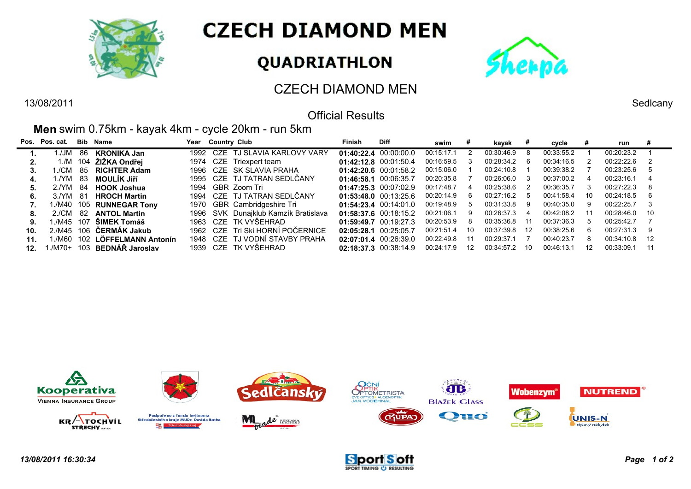

# **CZECH DIAMOND MEN**

# QUADRIATHLON



## CZECH DIAMOND MEN

### Official Results

#### **Men** swim 0.75km - kayak 4km - cycle 20km - run 5km

|     | Pos. Pos. cat. |     | Bib Name                 |      | Year Country Club                | Finish | <b>Diff</b>               | swim       | #  | kayak      | Ħ.            | cycle      |    | run        | #   |
|-----|----------------|-----|--------------------------|------|----------------------------------|--------|---------------------------|------------|----|------------|---------------|------------|----|------------|-----|
|     | 1./JM          | 86  | <b>KRONIKA Jan</b>       |      | 1992 CZE TJ SLAVIA KARLOVY VARY  |        | 01:40:22.4 00:00:00.0     | 00:15:17.1 |    | 00:30:46.9 |               | 00:33:55.2 |    | 00:20:23.2 |     |
|     | 1./M           |     | 104 ŽIŽKA Ondřej         | 1974 | CZE Triexpert team               |        | 01:42:12.8 00:01:50.4     | 00:16:59.5 | -3 | 00:28:34.2 | -6            | 00:34:16.5 | 2  | 00:22:22.6 | -2  |
|     | ./CM           | -85 | <b>RICHTER Adam</b>      | 1996 | CZE SK SLAVIA PRAHA              |        | $01:42:20.6$ 00:01:58.2   | 00:15:06.0 |    | 00:24:10.8 |               | 00:39:38.2 |    | 00:23:25.6 | -5  |
| 4.  | 1./YM          | 83  | <b>MOULÍK Jiří</b>       |      | 1995 CZE TJ TATRAN SEDLCANY      |        | 01:46:58.1 00:06:35.7     | 00:20:35.8 |    | 00:26:06.0 | 3             | 00:37:00.2 |    | 00:23:16.1 |     |
| 5.  | 2/NM           | 84  | <b>HOOK Joshua</b>       |      | 1994 GBR Zoom Tri                |        | $01:47:25.3$ $00:07:02.9$ | 00:17:48.7 | 4  | 00:25:38.6 | $\mathcal{P}$ | 00:36:35.7 | 3  | 00:27:22.3 | -8  |
| 6.  | 3/NM           | -81 | <b>HROCH Martin</b>      |      | 1994 CZE TJ TATRAN SEDLČANY      |        | $01:53:48.0$ $00:13:25.6$ | 00:20:14.9 | -6 | 00:27:16.2 | .5            | 00:41:58.4 | 10 | 00:24:18.5 | -6  |
|     |                |     | 1./M40 105 RUNNEGAR Tony |      | 1970 GBR Cambridgeshire Tri      |        | $01:54:23.4$ $00:14:01.0$ | 00:19:48.9 | 5  | 00:31:33.8 | 9             | 00:40:35.0 | 9  | 00:22:25.7 | - 3 |
| 8.  | 2./CM          | -82 | <b>ANTOL Martin</b>      | 1996 | SVK Dunajklub Kamzík Bratislava  |        | 01:58:37.6 00:18:15.2     | 00:21:06.1 | -9 | 00:26:37.3 | 4             | 00:42:08.2 | 11 | 00:28:46.0 | 10  |
| 9.  | 1./M45 107     |     | ŠIMEK Tomáš              |      | 1963 CZE TK VYSEHRAD             |        | 01:59:49.7 00:19:27.3     | 00:20:53.9 | 8  | 00:35:36.8 | -11           | 00:37:36.3 | 5  | 00:25:42.7 |     |
| 10. |                |     | 2./M45 106 CERMAK Jakub  |      | 1962 CZE Tri Ski HORNÍ POČERNICE |        | 02:05:28.1 00:25:05.7     | 00:21:51.4 | 10 | 00:37:39.8 | 12            | 00:38:25.6 | 6  | 00.27.31.3 | -9  |
| 11. | ./M60          |     | 102 LÖFFELMANN Antonín   | 1948 | CZE TJ VODNÍ STAVBY PRAHA        |        | $02:07:01.4$ $00:26:39.0$ | 00:22:49.8 |    | 00:29:37.1 |               | 00:40:23.7 | 8  | 00.34.10.8 | 12  |
| 12. | 1./M70+        |     | 103 BEDNÁR Jaroslav      |      | 1939 CZE TK VYŠEHRAD             |        | 02:18:37.3 00:38:14.9     | 00:24:17.9 | 12 | 00:34:57.2 | 10            | 00:46:13.1 | 12 | 00:33:09.1 | 11  |









13/08/2011 Sedlcany

÷